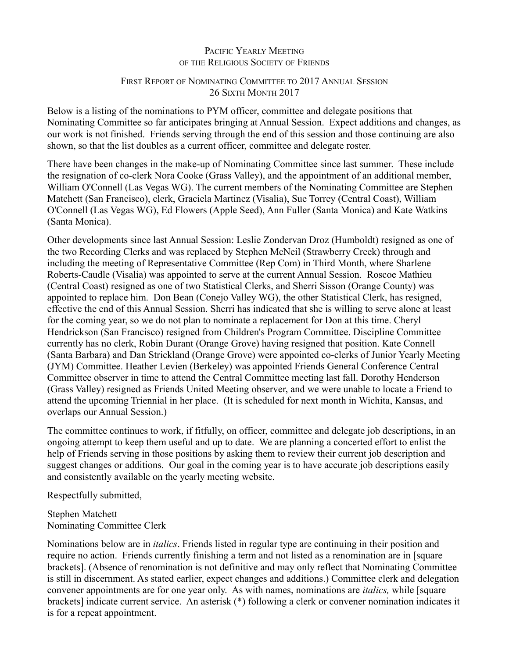# PACIFIC YEARLY MEETING OF THE RELIGIOUS SOCIETY OF FRIENDS

# FIRST REPORT OF NOMINATING COMMITTEE TO 2017 ANNUAL SESSION 26 SIXTH MONTH 2017

Below is a listing of the nominations to PYM officer, committee and delegate positions that Nominating Committee so far anticipates bringing at Annual Session. Expect additions and changes, as our work is not finished. Friends serving through the end of this session and those continuing are also shown, so that the list doubles as a current officer, committee and delegate roster.

There have been changes in the make-up of Nominating Committee since last summer. These include the resignation of co-clerk Nora Cooke (Grass Valley), and the appointment of an additional member, William O'Connell (Las Vegas WG). The current members of the Nominating Committee are Stephen Matchett (San Francisco), clerk, Graciela Martinez (Visalia), Sue Torrey (Central Coast), William O'Connell (Las Vegas WG), Ed Flowers (Apple Seed), Ann Fuller (Santa Monica) and Kate Watkins (Santa Monica).

Other developments since last Annual Session: Leslie Zondervan Droz (Humboldt) resigned as one of the two Recording Clerks and was replaced by Stephen McNeil (Strawberry Creek) through and including the meeting of Representative Committee (Rep Com) in Third Month, where Sharlene Roberts-Caudle (Visalia) was appointed to serve at the current Annual Session. Roscoe Mathieu (Central Coast) resigned as one of two Statistical Clerks, and Sherri Sisson (Orange County) was appointed to replace him. Don Bean (Conejo Valley WG), the other Statistical Clerk, has resigned, effective the end of this Annual Session. Sherri has indicated that she is willing to serve alone at least for the coming year, so we do not plan to nominate a replacement for Don at this time. Cheryl Hendrickson (San Francisco) resigned from Children's Program Committee. Discipline Committee currently has no clerk, Robin Durant (Orange Grove) having resigned that position. Kate Connell (Santa Barbara) and Dan Strickland (Orange Grove) were appointed co-clerks of Junior Yearly Meeting (JYM) Committee. Heather Levien (Berkeley) was appointed Friends General Conference Central Committee observer in time to attend the Central Committee meeting last fall. Dorothy Henderson (Grass Valley) resigned as Friends United Meeting observer, and we were unable to locate a Friend to attend the upcoming Triennial in her place. (It is scheduled for next month in Wichita, Kansas, and overlaps our Annual Session.)

The committee continues to work, if fitfully, on officer, committee and delegate job descriptions, in an ongoing attempt to keep them useful and up to date. We are planning a concerted effort to enlist the help of Friends serving in those positions by asking them to review their current job description and suggest changes or additions. Our goal in the coming year is to have accurate job descriptions easily and consistently available on the yearly meeting website.

Respectfully submitted,

Stephen Matchett Nominating Committee Clerk

Nominations below are in *italics*. Friends listed in regular type are continuing in their position and require no action. Friends currently finishing a term and not listed as a renomination are in [square brackets]. (Absence of renomination is not definitive and may only reflect that Nominating Committee is still in discernment. As stated earlier, expect changes and additions.) Committee clerk and delegation convener appointments are for one year only. As with names, nominations are *italics,* while [square brackets] indicate current service. An asterisk (\*) following a clerk or convener nomination indicates it is for a repeat appointment.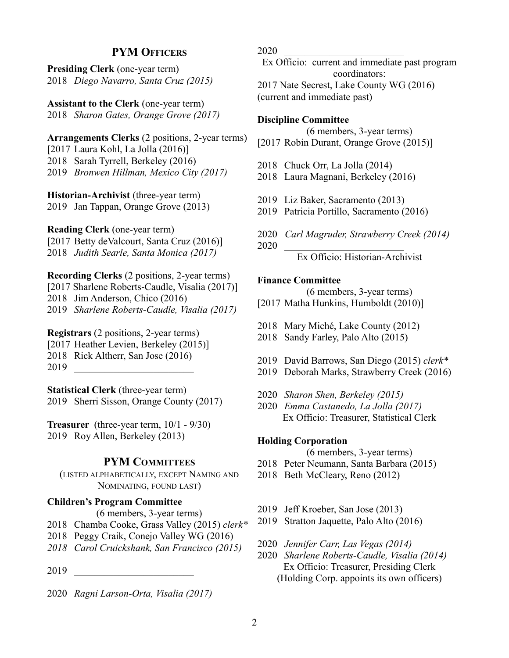# **PYM OFFICERS**

**Presiding Clerk** (one-year term) 2018 *Diego Navarro, Santa Cruz (2015)*

**Assistant to the Clerk** (one-year term) 2018 *Sharon Gates, Orange Grove (2017)*

**Arrangements Clerks** (2 positions, 2-year terms) [2017 Laura Kohl, La Jolla (2016)] 2018 Sarah Tyrrell, Berkeley (2016) 2019 *Bronwen Hillman, Mexico City (2017)*

**Historian-Archivist** (three-year term) 2019 Jan Tappan, Orange Grove (2013)

**Reading Clerk** (one-year term)

[2017 Betty deValcourt, Santa Cruz (2016)]

2018 *Judith Searle, Santa Monica (2017)*

**Recording Clerks** (2 positions, 2-year terms) [2017 Sharlene Roberts-Caudle, Visalia (2017)] 2018 Jim Anderson, Chico (2016) 2019 *Sharlene Roberts-Caudle, Visalia (2017)*

**Registrars** (2 positions, 2-year terms) [2017 Heather Levien, Berkeley (2015)] 2018 Rick Altherr, San Jose (2016)

2019 \_\_\_\_\_\_\_\_\_\_\_\_\_\_\_\_\_\_\_\_\_\_\_\_

**Statistical Clerk** (three-year term)

2019 Sherri Sisson, Orange County (2017)

**Treasurer** (three-year term, 10/1 - 9/30) 2019 Roy Allen, Berkeley (2013)

### **PYM COMMITTEES**

(LISTED ALPHABETICALLY, EXCEPT NAMING AND NOMINATING, FOUND LAST)

# **Children's Program Committee**

(6 members, 3-year terms)

- 2018 Chamba Cooke, Grass Valley (2015) *clerk\**
- 2018 Peggy Craik, Conejo Valley WG (2016)
- *2018 Carol Cruickshank, San Francisco (2015)*
- 2019 \_\_\_\_\_\_\_\_\_\_\_\_\_\_\_\_\_\_\_\_\_\_\_\_
- 2020 *Ragni Larson-Orta, Visalia (2017)*

2020 \_\_\_\_\_\_\_\_\_\_\_\_\_\_\_\_\_\_\_\_\_\_\_\_

Ex Officio: current and immediate past program coordinators: 2017 Nate Secrest, Lake County WG (2016) (current and immediate past)

### **Discipline Committee**

(6 members, 3-year terms)

- [2017 Robin Durant, Orange Grove (2015)]
- 2018 Chuck Orr, La Jolla (2014)
- 2018 Laura Magnani, Berkeley (2016)
- 2019 Liz Baker, Sacramento (2013)
- 2019 Patricia Portillo, Sacramento (2016)
- 2020 *Carl Magruder, Strawberry Creek (2014)*

2020 \_\_\_\_\_\_\_\_\_\_\_\_\_\_\_\_\_\_\_\_\_\_\_\_

Ex Officio: Historian-Archivist

## **Finance Committee**

(6 members, 3-year terms)

- [2017 Matha Hunkins, Humboldt (2010)]
- 2018 Mary Miché, Lake County (2012)
- 2018 Sandy Farley, Palo Alto (2015)
- 2019 David Barrows, San Diego (2015) *clerk\**
- 2019 Deborah Marks, Strawberry Creek (2016)
- 2020 *Sharon Shen, Berkeley (2015)*
- 2020 *Emma Castanedo, La Jolla (2017)* Ex Officio: Treasurer, Statistical Clerk

#### **Holding Corporation**

- (6 members, 3-year terms)
- 2018 Peter Neumann, Santa Barbara (2015)
- 2018 Beth McCleary, Reno (2012)
- 2019 Jeff Kroeber, San Jose (2013)
- 2019 Stratton Jaquette, Palo Alto (2016)
- 2020 *Jennifer Carr, Las Vegas (2014)*
- 2020 *Sharlene Roberts-Caudle, Visalia (2014)* Ex Officio: Treasurer, Presiding Clerk (Holding Corp. appoints its own officers)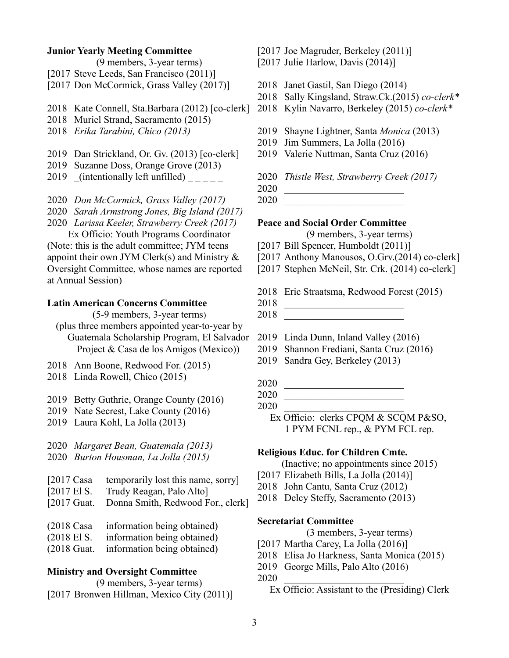#### **Junior Yearly Meeting Committee**

(9 members, 3-year terms)

- [2017 Steve Leeds, San Francisco (2011)]
- [2017 Don McCormick, Grass Valley (2017)]
- 2018 Kate Connell, Sta.Barbara (2012) [co-clerk]
- 2018 Muriel Strand, Sacramento (2015)
- 2018 *Erika Tarabini, Chico (2013)*
- 2019 Dan Strickland, Or. Gv. (2013) [co-clerk]
- 2019 Suzanne Doss, Orange Grove (2013)
- 2019 (intentionally left unfilled)  $\frac{1}{2}$

2020 *Don McCormick, Grass Valley (2017)*

2020 *Sarah Armstrong Jones, Big Island (2017)*

2020 *Larissa Keeler, Strawberry Creek (2017)*

Ex Officio: Youth Programs Coordinator (Note: this is the adult committee; JYM teens appoint their own JYM Clerk(s) and Ministry  $\&$ Oversight Committee, whose names are reported at Annual Session)

## **Latin American Concerns Committee**

(5-9 members, 3-year terms)

- (plus three members appointed year-to-year by Guatemala Scholarship Program, El Salvador Project & Casa de los Amigos (Mexico))
- 2018 Ann Boone, Redwood For. (2015)
- 2018 Linda Rowell, Chico (2015)
- 2019 Betty Guthrie, Orange County (2016)
- 2019 Nate Secrest, Lake County (2016)
- 2019 Laura Kohl, La Jolla (2013)

2020 *Margaret Bean, Guatemala (2013)* 2020 *Burton Housman, La Jolla (2015)*

- 
- [2017 Casa temporarily lost this name, sorry]
- [2017 El S. Trudy Reagan, Palo Alto]
- [2017 Guat. Donna Smith, Redwood For., clerk]
- (2018 Casa information being obtained)
- (2018 El S. information being obtained)
- (2018 Guat. information being obtained)

#### **Ministry and Oversight Committee**

(9 members, 3-year terms) [2017 Bronwen Hillman, Mexico City (2011)] [2017 Joe Magruder, Berkeley (2011)]

[2017 Julie Harlow, Davis (2014)]

- 2018 Janet Gastil, San Diego (2014)
- 2018 Sally Kingsland, Straw.Ck.(2015) *co-clerk\**
- 2018 Kylin Navarro, Berkeley (2015) *co-clerk\**
- 2019 Shayne Lightner, Santa *Monica* (2013)
- 2019 Jim Summers, La Jolla (2016)
- 2019 Valerie Nuttman, Santa Cruz (2016)

2020 *Thistle West, Strawberry Creek (2017)*

2020 \_\_\_\_\_\_\_\_\_\_\_\_\_\_\_\_\_\_\_\_\_\_\_\_

2020 \_\_\_\_\_\_\_\_\_\_\_\_\_\_\_\_\_\_\_\_\_\_\_\_

#### **Peace and Social Order Committee**

(9 members, 3-year terms)

- [2017 Bill Spencer, Humboldt (2011)]
- [2017 Anthony Manousos, O.Grv.(2014) co-clerk]
- [2017 Stephen McNeil, Str. Crk. (2014) co-clerk]
- 2018 Eric Straatsma, Redwood Forest (2015)
- 2018 \_\_\_\_\_\_\_\_\_\_\_\_\_\_\_\_\_\_\_\_\_\_\_\_

2018 \_\_\_\_\_\_\_\_\_\_\_\_\_\_\_\_\_\_\_\_\_\_\_\_

- 2019 Linda Dunn, Inland Valley (2016)
- 2019 Shannon Frediani, Santa Cruz (2016)
- 2019 Sandra Gey, Berkeley (2013)
- 2020 \_\_\_\_\_\_\_\_\_\_\_\_\_\_\_\_\_\_\_\_\_\_\_\_
- 2020 \_\_\_\_\_\_\_\_\_\_\_\_\_\_\_\_\_\_\_\_\_\_\_\_
- 2020 \_\_\_\_\_\_\_\_\_\_\_\_\_\_\_\_\_\_\_\_\_\_\_\_
	- Ex Officio: clerks CPQM & SCQM P&SO, 1 PYM FCNL rep., & PYM FCL rep.

#### **Religious Educ. for Children Cmte.**

- (Inactive; no appointments since 2015)
- [2017 Elizabeth Bills, La Jolla (2014)]
- 2018 John Cantu, Santa Cruz (2012)
- 2018 Delcy Steffy, Sacramento (2013)

## **Secretariat Committee**

- (3 members, 3-year terms)
- [2017 Martha Carey, La Jolla (2016)]
- 2018 Elisa Jo Harkness, Santa Monica (2015)
- 2019 George Mills, Palo Alto (2016)

2020 \_\_\_\_\_\_\_\_\_\_\_\_\_\_\_\_\_\_\_\_\_\_\_\_

Ex Officio: Assistant to the (Presiding) Clerk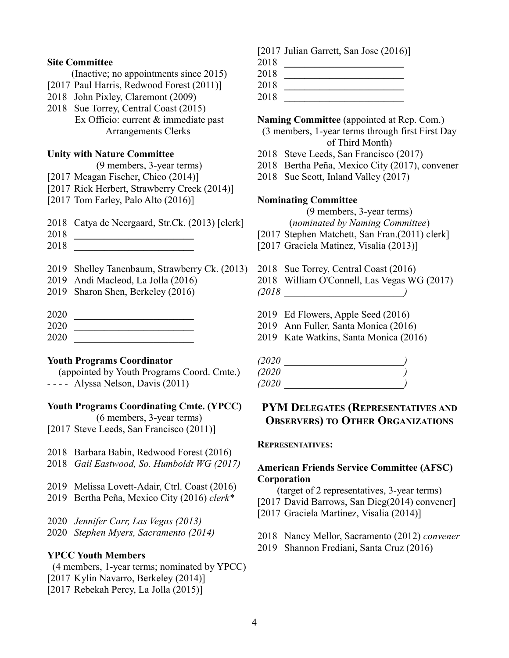#### **Site Committee**

(Inactive; no appointments since 2015)

- [2017 Paul Harris, Redwood Forest (2011)]
- 2018 John Pixley, Claremont (2009)
- 2018 Sue Torrey, Central Coast (2015) Ex Officio: current & immediate past Arrangements Clerks

### **Unity with Nature Committee**

(9 members, 3-year terms)

- [2017 Meagan Fischer, Chico (2014)]
- [2017 Rick Herbert, Strawberry Creek (2014)]
- [2017 Tom Farley, Palo Alto (2016)]
- 2018 Catya de Neergaard, Str.Ck. (2013) [clerk]
- 2018 **\_\_\_\_\_\_\_\_\_\_\_\_\_\_\_\_\_\_\_\_\_\_\_\_**
- 2018 **\_\_\_\_\_\_\_\_\_\_\_\_\_\_\_\_\_\_\_\_\_\_\_\_**
- 2019 Shelley Tanenbaum, Strawberry Ck. (2013)
- 2019 Andi Macleod, La Jolla (2016)
- 2019 Sharon Shen, Berkeley (2016)
- 2020 **\_\_\_\_\_\_\_\_\_\_\_\_\_\_\_\_\_\_\_\_\_\_\_\_**
- 
- 2020 **\_\_\_\_\_\_\_\_\_\_\_\_\_\_\_\_\_\_\_\_\_\_\_\_** 2020 **\_\_\_\_\_\_\_\_\_\_\_\_\_\_\_\_\_\_\_\_\_\_\_\_**

#### **Youth Programs Coordinator**

(appointed by Youth Programs Coord. Cmte.) - - - - Alyssa Nelson, Davis (2011)

#### **Youth Programs Coordinating Cmte. (YPCC)**

(6 members, 3-year terms) [2017 Steve Leeds, San Francisco (2011)]

- 2018 Barbara Babin, Redwood Forest (2016)
- 2018 *Gail Eastwood, So. Humboldt WG (2017)*
- 2019 Melissa Lovett-Adair, Ctrl. Coast (2016)
- 2019 Bertha Peña, Mexico City (2016) *clerk\**

2020 *Jennifer Carr, Las Vegas (2013)*

2020 *Stephen Myers, Sacramento (2014)*

#### **YPCC Youth Members**

(4 members, 1-year terms; nominated by YPCC) [2017 Kylin Navarro, Berkeley (2014)] [2017 Rebekah Percy, La Jolla (2015)]

- [2017 Julian Garrett, San Jose (2016)]
- 2018 **\_\_\_\_\_\_\_\_\_\_\_\_\_\_\_\_\_\_\_\_\_\_\_\_** 2018 **\_\_\_\_\_\_\_\_\_\_\_\_\_\_\_\_\_\_\_\_\_\_\_\_**

2018 **\_\_\_\_\_\_\_\_\_\_\_\_\_\_\_\_\_\_\_\_\_\_\_\_**

2018 **\_\_\_\_\_\_\_\_\_\_\_\_\_\_\_\_\_\_\_\_\_\_\_\_**

### **Naming Committee** (appointed at Rep. Com.)

(3 members, 1-year terms through first First Day of Third Month)

- 2018 Steve Leeds, San Francisco (2017)
- 2018 Bertha Peña, Mexico City (2017), convener
- 2018 Sue Scott, Inland Valley (2017)

#### **Nominating Committee**

(9 members, 3-year terms)

(*nominated by Naming Committee*)

- [2017 Stephen Matchett, San Fran.(2011) clerk]
- [2017 Graciela Matinez, Visalia (2013)]
- 2018 Sue Torrey, Central Coast (2016)
- 2018 William O'Connell, Las Vegas WG (2017)
- *(2018 \_\_\_\_\_\_\_\_\_\_\_\_\_\_\_\_\_\_\_\_\_\_\_\_)*
- 2019 Ed Flowers, Apple Seed (2016)
- 2019 Ann Fuller, Santa Monica (2016)
- 2019 Kate Watkins, Santa Monica (2016)

| (2020 |  |
|-------|--|
| (2020 |  |
| (2020 |  |

# **PYM DELEGATES (REPRESENTATIVES AND OBSERVERS) TO OTHER ORGANIZATIONS**

#### **REPRESENTATIVES:**

# **American Friends Service Committee (AFSC) Corporation**

- (target of 2 representatives, 3-year terms)
- [2017 David Barrows, San Dieg(2014) convener]
- [2017 Graciela Martinez, Visalia (2014)]
- 2018 Nancy Mellor, Sacramento (2012) *convener*
- 2019 Shannon Frediani, Santa Cruz (2016)